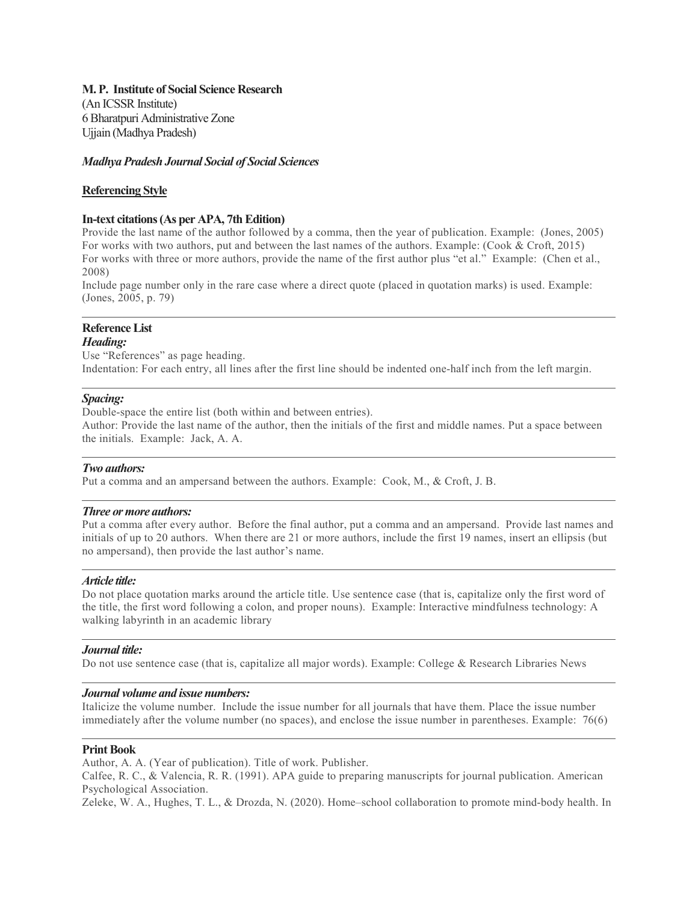# M. P. Institute of Social Science Research

(An ICSSR Institute) 6 Bharatpuri Administrative Zone Ujjain (Madhya Pradesh)

## Madhya Pradesh Journal Social of Social Sciences

## Referencing Style

### In-text citations (As per APA, 7th Edition)

Provide the last name of the author followed by a comma, then the year of publication. Example: (Jones, 2005) For works with two authors, put and between the last names of the authors. Example: (Cook & Croft, 2015) For works with three or more authors, provide the name of the first author plus "et al." Example: (Chen et al., 2008)

Include page number only in the rare case where a direct quote (placed in quotation marks) is used. Example: (Jones, 2005, p. 79)

# Reference List

## Heading:

Use "References" as page heading. Indentation: For each entry, all lines after the first line should be indented one-half inch from the left margin.

## Spacing:

Double-space the entire list (both within and between entries). Author: Provide the last name of the author, then the initials of the first and middle names. Put a space between the initials. Example: Jack, A. A.

#### Two authors:

Put a comma and an ampersand between the authors. Example: Cook, M., & Croft, J. B.

#### Three or more authors:

Put a comma after every author. Before the final author, put a comma and an ampersand. Provide last names and initials of up to 20 authors. When there are 21 or more authors, include the first 19 names, insert an ellipsis (but no ampersand), then provide the last author's name.

#### Article title:

Do not place quotation marks around the article title. Use sentence case (that is, capitalize only the first word of the title, the first word following a colon, and proper nouns). Example: Interactive mindfulness technology: A walking labyrinth in an academic library

#### Journal title:

Do not use sentence case (that is, capitalize all major words). Example: College & Research Libraries News

#### Journal volume and issue numbers:

Italicize the volume number. Include the issue number for all journals that have them. Place the issue number immediately after the volume number (no spaces), and enclose the issue number in parentheses. Example: 76(6)

#### Print Book

Author, A. A. (Year of publication). Title of work. Publisher.

Calfee, R. C., & Valencia, R. R. (1991). APA guide to preparing manuscripts for journal publication. American Psychological Association.

Zeleke, W. A., Hughes, T. L., & Drozda, N. (2020). Home–school collaboration to promote mind-body health. In